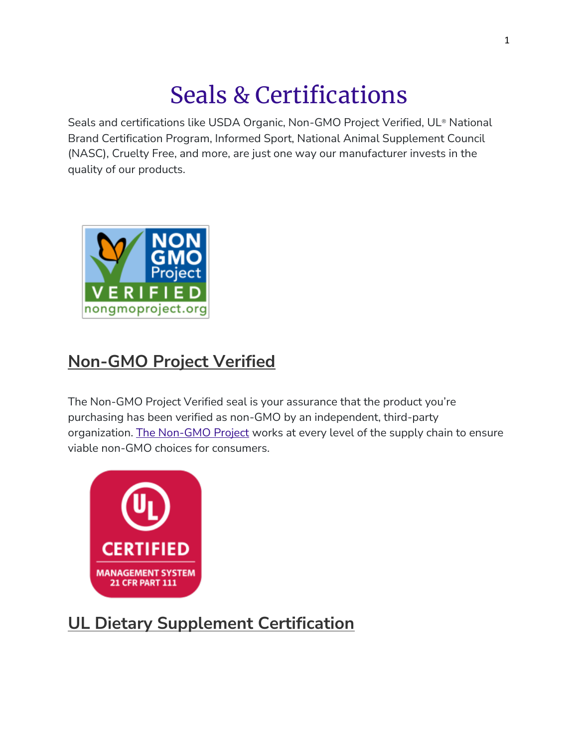# Seals & Certifications

Seals and certifications like USDA Organic, Non-GMO Project Verified, UL® National Brand Certification Program, Informed Sport, National Animal Supplement Council (NASC), Cruelty Free, and more, are just one way our manufacturer invests in the quality of our products.



# **[Non-GMO Project Verified](https://www.nowfoods.com/quality-safety/seals-certificates/non-gmo-project-verified)**

The Non-GMO Project Verified seal is your assurance that the product you're purchasing has been verified as non-GMO by an independent, third-party organization. [The Non-GMO Project](https://www.nongmoproject.org/) works at every level of the supply chain to ensure viable non-GMO choices for consumers.



# **[UL Dietary Supplement Certification](https://www.nowfoods.com/quality-safety/seals-certificates/ul-dietary-supplement-certification)**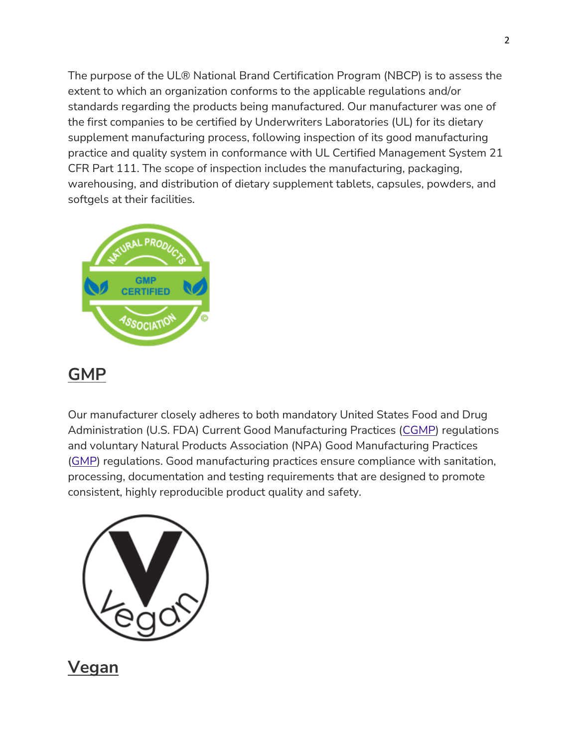The purpose of the UL® National Brand Certification Program (NBCP) is to assess the extent to which an organization conforms to the applicable regulations and/or standards regarding the products being manufactured. Our manufacturer was one of the first companies to be certified by Underwriters Laboratories (UL) for its dietary supplement manufacturing process, following inspection of its good manufacturing practice and quality system in conformance with UL Certified Management System 21 CFR Part 111. The scope of inspection includes the manufacturing, packaging, warehousing, and distribution of dietary supplement tablets, capsules, powders, and softgels at their facilities.



#### **[GMP](https://www.nowfoods.com/quality-safety/seals-certificates/gmp)**

Our manufacturer closely adheres to both mandatory United States Food and Drug Administration (U.S. FDA) Current Good Manufacturing Practices [\(CGMP\)](https://www.fda.gov/Drugs/DevelopmentApprovalProcess/Manufacturing/ucm169105.htm) regulations and voluntary Natural Products Association (NPA) Good Manufacturing Practices [\(GMP\)](https://www.nowfoods.com/node/40406) regulations. Good manufacturing practices ensure compliance with sanitation, processing, documentation and testing requirements that are designed to promote consistent, highly reproducible product quality and safety.



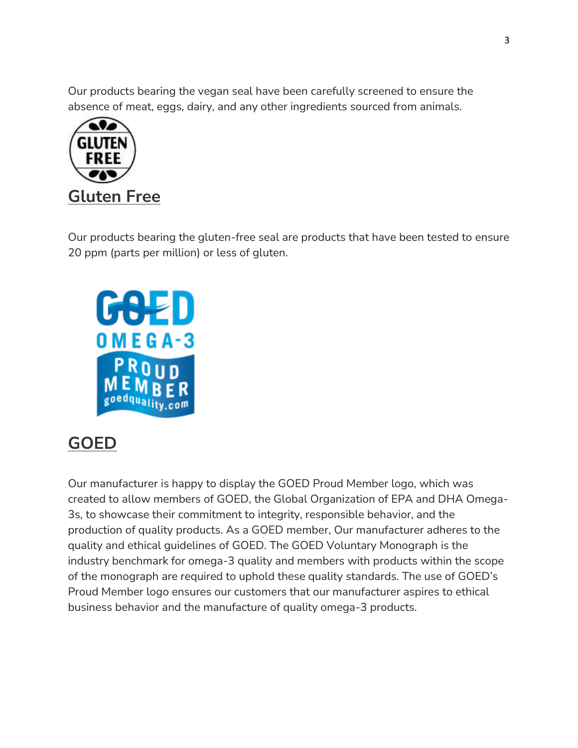Our products bearing the vegan seal have been carefully screened to ensure the absence of meat, eggs, dairy, and any other ingredients sourced from animals.



Our products bearing the gluten-free seal are products that have been tested to ensure 20 ppm (parts per million) or less of gluten.



## **[GOED](https://www.nowfoods.com/quality-safety/seals-certificates/goed)**

Our manufacturer is happy to display the GOED Proud Member logo, which was created to allow members of GOED, the Global Organization of EPA and DHA Omega-3s, to showcase their commitment to integrity, responsible behavior, and the production of quality products. As a GOED member, Our manufacturer adheres to the quality and ethical guidelines of GOED. The GOED Voluntary Monograph is the industry benchmark for omega-3 quality and members with products within the scope of the monograph are required to uphold these quality standards. The use of GOED's Proud Member logo ensures our customers that our manufacturer aspires to ethical business behavior and the manufacture of quality omega-3 products.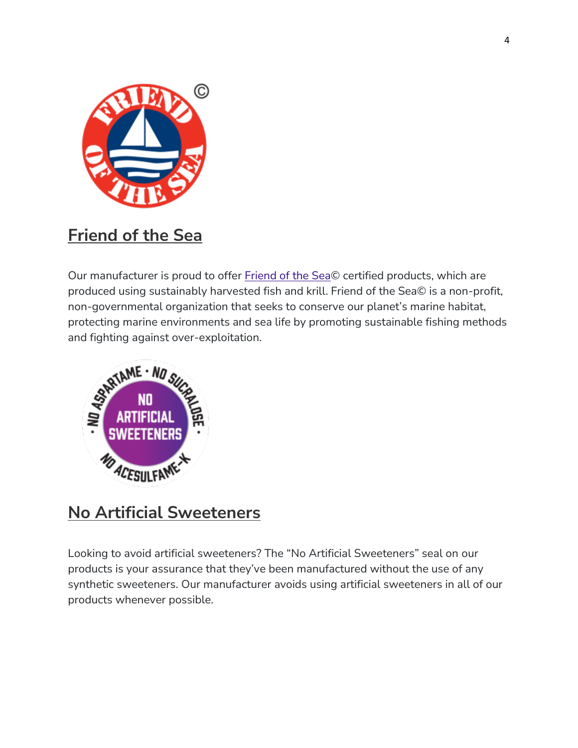

## **[Friend of the Sea](https://www.nowfoods.com/quality-safety/seals-certificates/friend-sea)**

Our manufacturer is proud to offer [Friend of the Sea©](http://www.friendofthesea.org/) certified products, which are produced using sustainably harvested fish and krill. Friend of the Sea© is a non-profit, non-governmental organization that seeks to conserve our planet's marine habitat, protecting marine environments and sea life by promoting sustainable fishing methods and fighting against over-exploitation.



## **[No Artificial Sweeteners](https://www.nowfoods.com/quality-safety/seals-certificates/no-artificial-sweeteners)**

Looking to avoid artificial sweeteners? The "No Artificial Sweeteners" seal on our products is your assurance that they've been manufactured without the use of any synthetic sweeteners. Our manufacturer avoids using artificial sweeteners in all of our products whenever possible.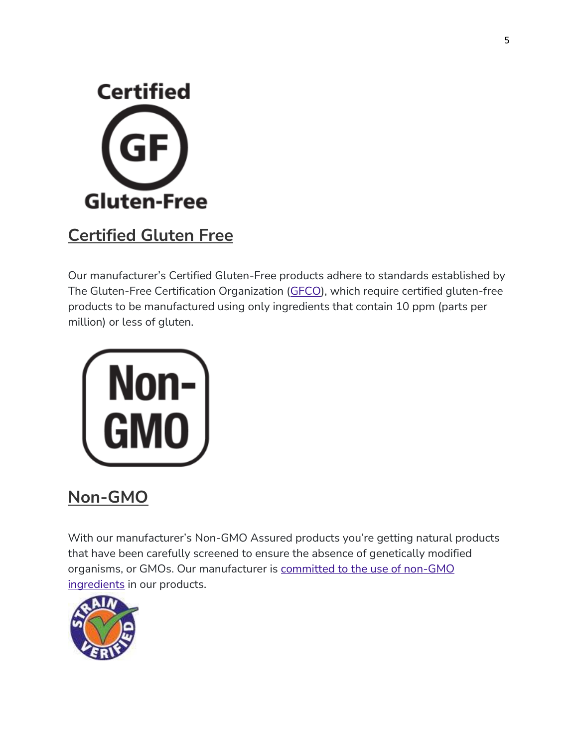

#### **[Certified Gluten Free](https://www.nowfoods.com/quality-safety/seals-certificates/certified-gluten-free)**

Our manufacturer's Certified Gluten-Free products adhere to standards established by The Gluten-Free Certification Organization [\(GFCO\)](http://www.gfco.org/), which require certified gluten-free products to be manufactured using only ingredients that contain 10 ppm (parts per million) or less of gluten.



## **[Non-GMO](https://www.nowfoods.com/quality-safety/seals-certificates/non-gmo)**

With our manufacturer's Non-GMO Assured products you're getting natural products that have been carefully screened to ensure the absence of genetically modified organisms, or GMOs. Our manufacturer is [committed to the use of non-GMO](https://www.nowfoods.com/node/40421)  [ingredients](https://www.nowfoods.com/node/40421) in our products.